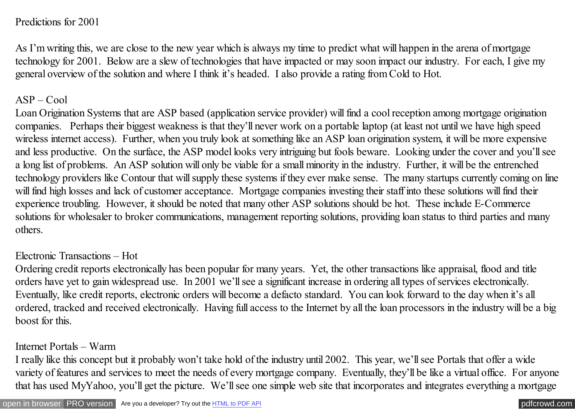#### Predictions for 2001

As I'm writing this, we are close to the new year which is always my time to predict what will happen in the arena of mortgage technology for 2001. Below are a slew of technologies that have impacted or may soon impact our industry. For each, I give my general overview of the solution and where I think it's headed. I also provide a rating from Cold to Hot.

#### $ASP - Cool$

Loan Origination Systems that are ASP based (application service provider) will find a cool reception among mortgage origination companies. Perhaps their biggest weakness is that they'll never work on a portable laptop (at least not until we have high speed wireless internet access). Further, when you truly look at something like an ASP loan origination system, it will be more expensive and less productive. On the surface, the ASP model looks very intriguing but fools beware. Looking under the cover and you'll see a long list of problems. An ASP solution will only be viable for a small minority in the industry. Further, it will be the entrenched technology providers like Contour that will supply these systems if they ever make sense. The many startups currently coming on line will find high losses and lack of customer acceptance. Mortgage companies investing their staff into these solutions will find their experience troubling. However, it should be noted that many other ASP solutions should be hot. These include E-Commerce solutions for wholesaler to broker communications, management reporting solutions, providing loan status to third parties and many others.

#### Electronic Transactions – Hot

Ordering credit reports electronically has been popular for many years. Yet, the other transactions like appraisal, flood and title orders have yet to gain widespread use. In 2001 we'll see a significant increase in ordering all types of services electronically. Eventually, like credit reports, electronic orders will become a defacto standard. You can look forward to the day when it's all ordered, tracked and received electronically. Having full access to the Internet by all the loan processors in the industry will be a big boost for this.

#### Internet Portals – Warm

I really like this concept but it probably won't take hold of the industry until 2002. This year, we'll see Portals that offer a wide variety of features and services to meet the needs of every mortgage company. Eventually, they'll be like a virtual office. For anyone that has used MyYahoo, you'll get the picture. We'll see one simple web site that incorporates and integrates everything a mortgage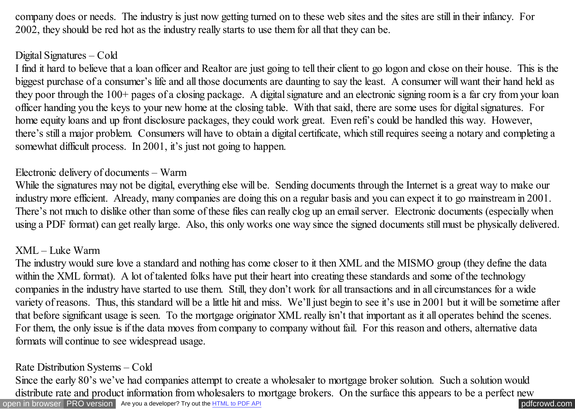company does or needs. The industry is just now getting turned on to these web sites and the sites are still in their infancy. For 2002, they should be red hot as the industry really starts to use them for all that they can be.

### Digital Signatures – Cold

I find it hard to believe that a loan officer and Realtor are just going to tell their client to go logon and close on their house. This is the biggest purchase of a consumer's life and all those documents are daunting to say the least. A consumer will want their hand held as they poor through the 100+ pages of a closing package. A digital signature and an electronic signing room is a far cry from your loan officer handing you the keys to your new home at the closing table. With that said, there are some uses for digital signatures. For home equity loans and up front disclosure packages, they could work great. Even refi's could be handled this way. However, there's still a major problem. Consumers will have to obtain a digital certificate, which still requires seeing a notary and completing a somewhat difficult process. In 2001, it's just not going to happen.

# Electronic delivery of documents – Warm

While the signatures may not be digital, everything else will be. Sending documents through the Internet is a great way to make our industry more efficient. Already, many companies are doing this on a regular basis and you can expect it to go mainstream in 2001. There's not much to dislike other than some of these files can really clog up an email server. Electronic documents (especially when using a PDF format) can get really large. Also, this only works one way since the signed documents still must be physically delivered.

#### XML – Luke Warm

The industry would sure love a standard and nothing has come closer to it then XML and the MISMO group (they define the data within the XML format). A lot of talented folks have put their heart into creating these standards and some of the technology companies in the industry have started to use them. Still, they don't work for all transactions and in all circumstances for a wide variety of reasons. Thus, this standard will be a little hit and miss. We'll just begin to see it's use in 2001 but it will be sometime after that before significant usage is seen. To the mortgage originator XML really isn't that important as it all operates behind the scenes. For them, the only issue is if the data moves from company to company without fail. For this reason and others, alternative data formats will continue to see widespread usage.

# Rate Distribution Systems – Cold

[open in browser](http://pdfcrowd.com/redirect/?url=http%3a%2f%2fscooley.com%2fMOM25.htm&id=ma-140812021208-38ecdafe) [PRO version](http://pdfcrowd.com/customize/) Are you a developer? Try out th[e HTML to PDF API](http://pdfcrowd.com/html-to-pdf-api/?ref=pdf) performance of the Area and the Area posterior of the Area posterior of the Area posterior of the Area posterior of the Area posterior of the Are Since the early 80's we've had companies attempt to create a wholesaler to mortgage broker solution. Such a solution would distribute rate and product information from wholesalers to mortgage brokers. On the surface this appears to be a perfect new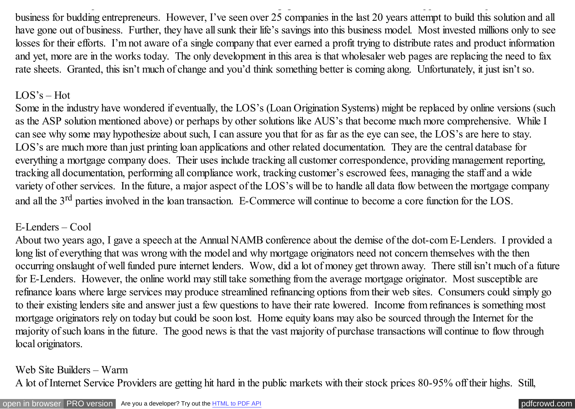business for budding entrepreneurs. However, I've seen over 25 companies in the last 20 years attempt to build this solution and all have gone out of business. Further, they have all sunk their life's savings into this business model. Most invested millions only to see losses for their efforts. I'm not aware of a single company that ever earned a profit trying to distribute rates and product information and yet, more are in the works today. The only development in this area is that wholesaler web pages are replacing the need to fax rate sheets. Granted, this isn't much of change and you'd think something better is coming along. Unfortunately, it just isn't so.

distribute rate and product information from wholesalers to mortgage brokers. On the surface this appears to be a perfect new

### LOS's – Hot

Some in the industry have wondered if eventually, the LOS's (Loan Origination Systems) might be replaced by online versions (such as the ASP solution mentioned above) or perhaps by other solutions like AUS's that become much more comprehensive. While I can see why some may hypothesize about such, I can assure you that for as far as the eye can see, the LOS's are here to stay. LOS's are much more than just printing loan applications and other related documentation. They are the central database for everything a mortgage company does. Their uses include tracking all customer correspondence, providing management reporting, tracking all documentation, performing all compliance work, tracking customer's escrowed fees, managing the staff and a wide variety of other services. In the future, a major aspect of the LOS's will be to handle all data flow between the mortgage company and all the 3<sup>rd</sup> parties involved in the loan transaction. E-Commerce will continue to become a core function for the LOS.

# E-Lenders – Cool

About two years ago, I gave a speech at the Annual NAMB conference about the demise of the dot-com E-Lenders. I provided a long list of everything that was wrong with the model and why mortgage originators need not concern themselves with the then occurring onslaught of well funded pure internet lenders. Wow, did a lot of money get thrown away. There still isn't much of a future for E-Lenders. However, the online world may still take something from the average mortgage originator. Most susceptible are refinance loans where large services may produce streamlined refinancing options from their web sites. Consumers could simply go to their existing lenders site and answer just a few questions to have their rate lowered. Income from refinances is something most mortgage originators rely on today but could be soon lost. Home equity loans may also be sourced through the Internet for the majority of such loans in the future. The good news is that the vast majority of purchase transactions will continue to flow through local originators.

### Web Site Builders – Warm

A lot of Internet Service Providers are getting hit hard in the public markets with their stock prices 80-95% off their highs. Still,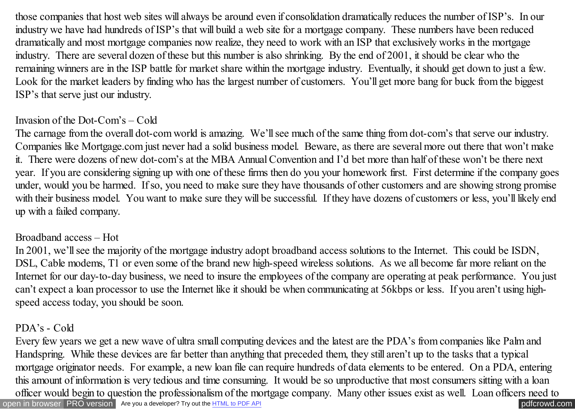those companies that host web sites will always be around even if consolidation dramatically reduces the number of ISP's. In our industry we have had hundreds of ISP's that will build a web site for a mortgage company. These numbers have been reduced dramatically and most mortgage companies now realize, they need to work with an ISP that exclusively works in the mortgage industry. There are several dozen of these but this number is also shrinking. By the end of 2001, it should be clear who the remaining winners are in the ISP battle for market share within the mortgage industry. Eventually, it should get down to just a few. Look for the market leaders by finding who has the largest number of customers. You'll get more bang for buck from the biggest ISP's that serve just our industry.

# Invasion of the Dot-Com's – Cold

The carnage from the overall dot-com world is amazing. We'll see much of the same thing from dot-com's that serve our industry. Companies like Mortgage.com just never had a solid business model. Beware, as there are several more out there that won't make it. There were dozens of new dot-com's at the MBA Annual Convention and I'd bet more than half of these won't be there next year. If you are considering signing up with one of these firms then do you your homework first. First determine if the company goes under, would you be harmed. If so, you need to make sure they have thousands of other customers and are showing strong promise with their business model. You want to make sure they will be successful. If they have dozens of customers or less, you'll likely end up with a failed company.

### Broadband access – Hot

In 2001, we'll see the majority of the mortgage industry adopt broadband access solutions to the Internet. This could be ISDN, DSL, Cable modems, T1 or even some of the brand new high-speed wireless solutions. As we all become far more reliant on the Internet for our day-to-day business, we need to insure the employees of the company are operating at peak performance. You just can't expect a loan processor to use the Internet like it should be when communicating at 56kbps or less. If you aren't using highspeed access today, you should be soon.

# PDA's - Cold

[open in browser](http://pdfcrowd.com/redirect/?url=http%3a%2f%2fscooley.com%2fMOM25.htm&id=ma-140812021208-38ecdafe) [PRO version](http://pdfcrowd.com/customize/) Are you a developer? Try out th[e HTML to PDF API](http://pdfcrowd.com/html-to-pdf-api/?ref=pdf) compared and the ATML to PDF API [pdfcrowd.com](http://pdfcrowd.com) Every few years we get a new wave of ultra small computing devices and the latest are the PDA's from companies like Palm and Handspring. While these devices are far better than anything that preceded them, they still aren't up to the tasks that a typical mortgage originator needs. For example, a new loan file can require hundreds of data elements to be entered. On a PDA, entering this amount of information is very tedious and time consuming. It would be so unproductive that most consumers sitting with a loan officer would begin to question the professionalism of the mortgage company. Many other issues exist as well. Loan officers need to